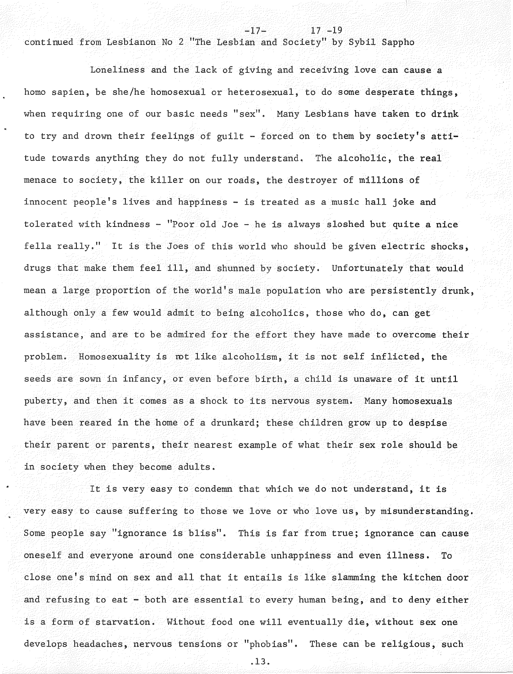continued from Lesbianon No 2 "The Lesbian and Society" by Sybil Sappho

 $17 - 19$ 

Loneliness and the lack of giving and receiving love can cause a homo sapien, be she/he homosexual or heterosexual, to do some desperate things, when requiring one of our basic needs " $sex$ ". Many Lesbians have taken to drink to try and drown their feelings of guilt - forced on to them by society's attitude towards anything they do not fully understand, The alcoholic, the real menace to society, the killer on our roads, the destroyer of millions of innocent people's lives and happiness - is treated as a music hall joke and tolerated with kindness - "Poor old Joe - he is always sloshed but quite a nice fella really." It is the Joes of this world who should be given electric shocks, drugs that make them feel ill, and shunned by society. Unfortunately that would mean a large proportion of the world's male population who are persistently drunk, although only a few would admit to being alcoholics, those who do, can get assistance, and are to be admired for the effort they have made to overcome their problem. Homosexuality is rot like alcoholism, it is not self inflicted, the seeds are sown in infancy, or even before birth, a child is unaware of it until puberty, and then it comes as a shock to its nervous system. Many homosexuals have been reared in the home of a drunkard; these children grow up to despise their parent or parents, their nearest example of what their sex role should be in society when they become adults.

It is very easy to condemn that which we do not understand, it is very easy to cause suffering to those we love or who love us, by misunderstanding. Some people say "ignorance is bliss". This is far from true; ignorance can cause oneself and everyone around one considerable unhappiness and even illness. To close one's mind on sex and all that it entails is like slamming the kitchen door and refusing to eat - both are essential to every human being, and to deny either is a form of starvation. Without food one will eventually die, without sex one develops headaches, nervous tensions or "phobias". These can be religious, such

.13.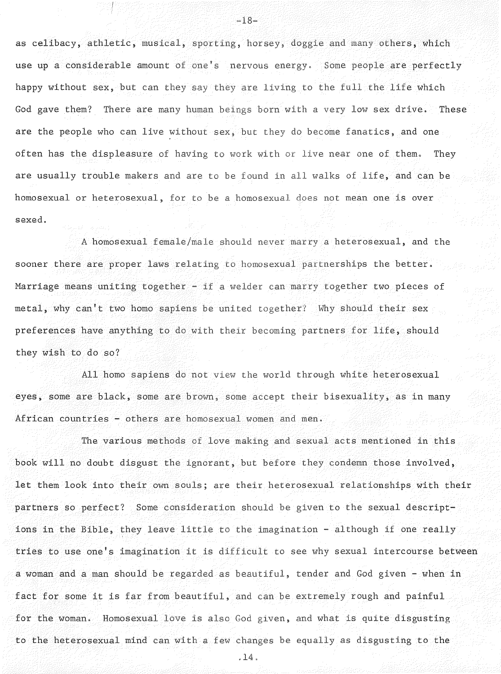as celibacy, athletic, musical, sporting, horsey, doggie and many others, which use up a considerable amount of one's nervous energy. Some people are perfectly happy without sex, but can they say they are living to the full the life which God gave them? There are many human beings born with a very low sex drive. These are the people who can live without sex, but they do become fanatics, and one often has the displeasure of having to work with or live near one of them. They are usually trouble makers and are to be found in all walks of life, and can be homosexual or heterosexual, for to be a homosexual does not mean one is over sexed.

 $-18-$ 

A homosexual female/male should never marry a heterosexual, and the sooner there are proper laws relating to homosexual partnerships the better. Marriage means uniting together - if a welder can marry together two pieces of metal, why can't two homo sapiens be united together? Why should their sex preferences have anything to do with their becoming partners for life, should they wish to do so?

All homo sapiens do not view the world through white heterosexual eyes, some are black, some are brown, some accept their bis exuality, as in many African countries - others are homosexual women and men.

The various methods of love making and sexual acts mentioned in this book will no doubt disgust the ignorant, but before they condemn those involved, let them look into their own souls; are their heterosexual relationships with their partners so perfect? Some consideration should be given to the sexual descriptions in the Bible, they leave little to the imagination - although if one really tries to use one's imagination it is difficult to see why sexual intercourse between a woman and a man should be regarded as beautiful, tender and God given - when in fact for some it is far from beautiful, and can be extremely rough and painful for the woman. Homosexual love is also God given, and what is quite disgusting to the heterosexual mind can with a few changes be equally as disgusting to the

.14.